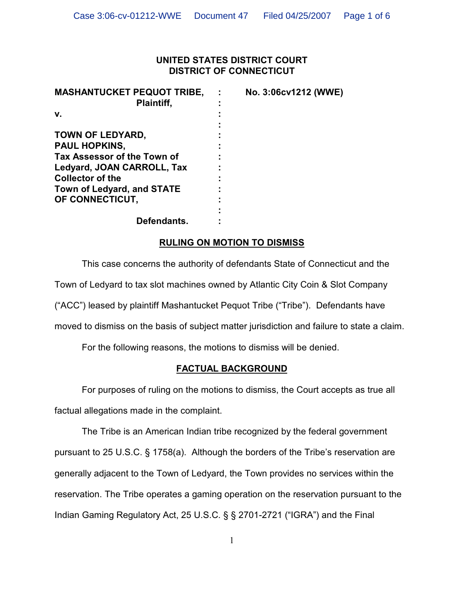### **UNITED STATES DISTRICT COURT DISTRICT OF CONNECTICUT**

| <b>MASHANTUCKET PEQUOT TRIBE,</b> | No. 3:06cv1212 (WWE) |
|-----------------------------------|----------------------|
| Plaintiff,                        |                      |
| v.                                |                      |
|                                   |                      |
| TOWN OF LEDYARD,                  |                      |
| <b>PAUL HOPKINS,</b>              |                      |
| Tax Assessor of the Town of       |                      |
| Ledyard, JOAN CARROLL, Tax        |                      |
| <b>Collector of the</b>           |                      |
| <b>Town of Ledyard, and STATE</b> |                      |
| OF CONNECTICUT,                   |                      |
|                                   |                      |
| Defendants.                       |                      |

# **RULING ON MOTION TO DISMISS**

This case concerns the authority of defendants State of Connecticut and the

Town of Ledyard to tax slot machines owned by Atlantic City Coin & Slot Company

("ACC") leased by plaintiff Mashantucket Pequot Tribe ("Tribe"). Defendants have

moved to dismiss on the basis of subject matter jurisdiction and failure to state a claim.

For the following reasons, the motions to dismiss will be denied.

# **FACTUAL BACKGROUND**

For purposes of ruling on the motions to dismiss, the Court accepts as true all

factual allegations made in the complaint.

The Tribe is an American Indian tribe recognized by the federal government pursuant to 25 U.S.C. § 1758(a). Although the borders of the Tribe's reservation are generally adjacent to the Town of Ledyard, the Town provides no services within the reservation. The Tribe operates a gaming operation on the reservation pursuant to the Indian Gaming Regulatory Act, 25 U.S.C. § § 2701-2721 ("IGRA") and the Final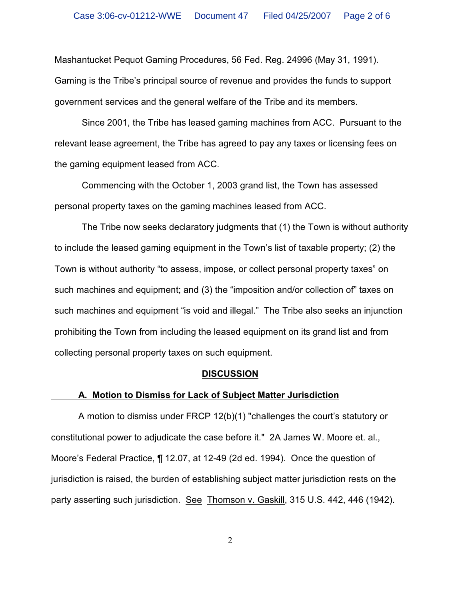Mashantucket Pequot Gaming Procedures, 56 Fed. Reg. 24996 (May 31, 1991). Gaming is the Tribe's principal source of revenue and provides the funds to support government services and the general welfare of the Tribe and its members.

Since 2001, the Tribe has leased gaming machines from ACC. Pursuant to the relevant lease agreement, the Tribe has agreed to pay any taxes or licensing fees on the gaming equipment leased from ACC.

Commencing with the October 1, 2003 grand list, the Town has assessed personal property taxes on the gaming machines leased from ACC.

The Tribe now seeks declaratory judgments that (1) the Town is without authority to include the leased gaming equipment in the Town's list of taxable property; (2) the Town is without authority "to assess, impose, or collect personal property taxes" on such machines and equipment; and (3) the "imposition and/or collection of" taxes on such machines and equipment "is void and illegal." The Tribe also seeks an injunction prohibiting the Town from including the leased equipment on its grand list and from collecting personal property taxes on such equipment.

#### **DISCUSSION**

#### **A. Motion to Dismiss for Lack of Subject Matter Jurisdiction**

A motion to dismiss under FRCP 12(b)(1) "challenges the court's statutory or constitutional power to adjudicate the case before it." 2A James W. Moore et. al., Moore's Federal Practice, ¶ 12.07, at 12-49 (2d ed. 1994). Once the question of jurisdiction is raised, the burden of establishing subject matter jurisdiction rests on the party asserting such jurisdiction. See Thomson v. Gaskill, 315 U.S. 442, 446 (1942).

2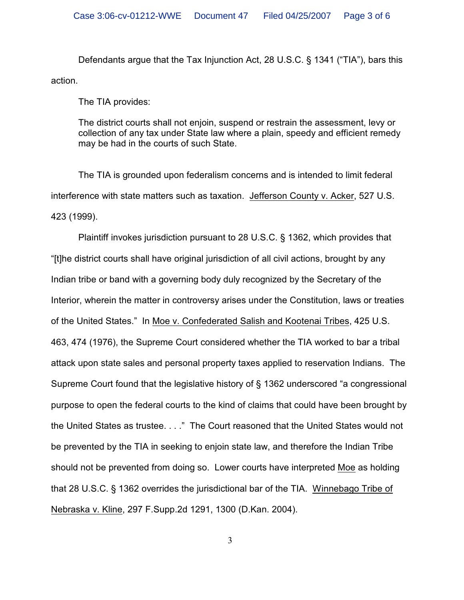Defendants argue that the Tax Injunction Act, 28 U.S.C. § 1341 ("TIA"), bars this action.

The TIA provides:

The district courts shall not enjoin, suspend or restrain the assessment, levy or collection of any tax under State law where a plain, speedy and efficient remedy may be had in the courts of such State.

The TIA is grounded upon federalism concerns and is intended to limit federal interference with state matters such as taxation. Jefferson County v. Acker, 527 U.S. 423 (1999).

Plaintiff invokes jurisdiction pursuant to 28 U.S.C. § 1362, which provides that "[t]he district courts shall have original jurisdiction of all civil actions, brought by any Indian tribe or band with a governing body duly recognized by the Secretary of the Interior, wherein the matter in controversy arises under the Constitution, laws or treaties of the United States." In Moe v. Confederated Salish and Kootenai Tribes, 425 U.S. 463, 474 (1976), the Supreme Court considered whether the TIA worked to bar a tribal attack upon state sales and personal property taxes applied to reservation Indians. The Supreme Court found that the legislative history of § 1362 underscored "a congressional purpose to open the federal courts to the kind of claims that could have been brought by the United States as trustee. . . ." The Court reasoned that the United States would not be prevented by the TIA in seeking to enjoin state law, and therefore the Indian Tribe should not be prevented from doing so. Lower courts have interpreted Moe as holding that 28 U.S.C. § 1362 overrides the jurisdictional bar of the TIA. Winnebago Tribe of Nebraska v. Kline, 297 F.Supp.2d 1291, 1300 (D.Kan. 2004).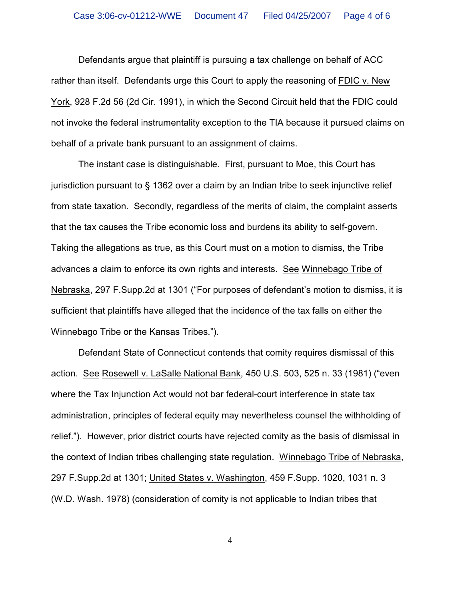Defendants argue that plaintiff is pursuing a tax challenge on behalf of ACC rather than itself. Defendants urge this Court to apply the reasoning of FDIC v. New York, 928 F.2d 56 (2d Cir. 1991), in which the Second Circuit held that the FDIC could not invoke the federal instrumentality exception to the TIA because it pursued claims on behalf of a private bank pursuant to an assignment of claims.

The instant case is distinguishable. First, pursuant to Moe, this Court has jurisdiction pursuant to § 1362 over a claim by an Indian tribe to seek injunctive relief from state taxation. Secondly, regardless of the merits of claim, the complaint asserts that the tax causes the Tribe economic loss and burdens its ability to self-govern. Taking the allegations as true, as this Court must on a motion to dismiss, the Tribe advances a claim to enforce its own rights and interests. See Winnebago Tribe of Nebraska, 297 F.Supp.2d at 1301 ("For purposes of defendant's motion to dismiss, it is sufficient that plaintiffs have alleged that the incidence of the tax falls on either the Winnebago Tribe or the Kansas Tribes.").

Defendant State of Connecticut contends that comity requires dismissal of this action. See Rosewell v. LaSalle National Bank, 450 U.S. 503, 525 n. 33 (1981) ("even where the Tax Injunction Act would not bar federal-court interference in state tax administration, principles of federal equity may nevertheless counsel the withholding of relief."). However, prior district courts have rejected comity as the basis of dismissal in the context of Indian tribes challenging state regulation. Winnebago Tribe of Nebraska, 297 F.Supp.2d at 1301; United States v. Washington, 459 F.Supp. 1020, 1031 n. 3 (W.D. Wash. 1978) (consideration of comity is not applicable to Indian tribes that

4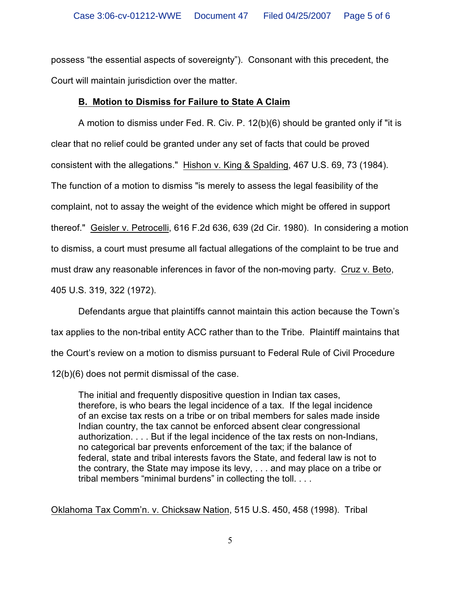possess "the essential aspects of sovereignty"). Consonant with this precedent, the Court will maintain jurisdiction over the matter.

## **B. Motion to Dismiss for Failure to State A Claim**

A motion to dismiss under Fed. R. Civ. P. 12(b)(6) should be granted only if "it is clear that no relief could be granted under any set of facts that could be proved consistent with the allegations." Hishon v. King & Spalding, 467 U.S. 69, 73 (1984). The function of a motion to dismiss "is merely to assess the legal feasibility of the complaint, not to assay the weight of the evidence which might be offered in support thereof." Geisler v. Petrocelli, 616 F.2d 636, 639 (2d Cir. 1980). In considering a motion to dismiss, a court must presume all factual allegations of the complaint to be true and must draw any reasonable inferences in favor of the non-moving party. Cruz v. Beto, 405 U.S. 319, 322 (1972).

Defendants argue that plaintiffs cannot maintain this action because the Town's tax applies to the non-tribal entity ACC rather than to the Tribe. Plaintiff maintains that the Court's review on a motion to dismiss pursuant to Federal Rule of Civil Procedure 12(b)(6) does not permit dismissal of the case.

The initial and frequently dispositive question in Indian tax cases, therefore, is who bears the legal incidence of a tax. If the legal incidence of an excise tax rests on a tribe or on tribal members for sales made inside Indian country, the tax cannot be enforced absent clear congressional authorization. . . . But if the legal incidence of the tax rests on non-Indians, no categorical bar prevents enforcement of the tax; if the balance of federal, state and tribal interests favors the State, and federal law is not to the contrary, the State may impose its levy, . . . and may place on a tribe or tribal members "minimal burdens" in collecting the toll. . . .

Oklahoma Tax Comm'n. v. Chicksaw Nation, 515 U.S. 450, 458 (1998). Tribal